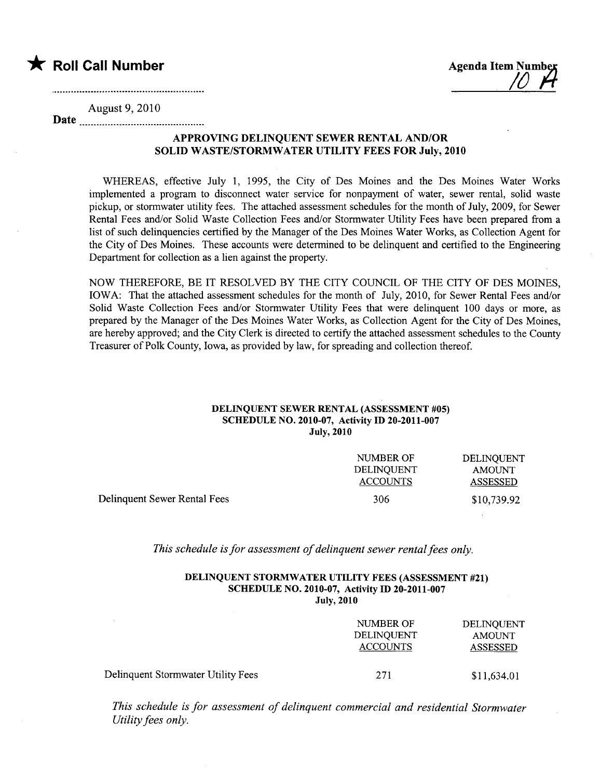

August 9,2010

Date

## APPROVING DELINQUENT SEWER RENTAL AND/OR SOLID WASTE/STORMWATER UTILITY FEES FOR July, 2010

WHEREAS, effective July 1, 1995, the City of Des Moines and the Des Moines Water Works implemented a program to disconnect water service for nonpayment of water, sewer rental, solid waste pickup, or stormwater utility fees. The attached assessment schedules for the month of July, 2009, for Sewer Rental Fees and/or Solid Waste Collection Fees and/or Stormwater Utilty Fees have been prepared from a list of such delinquencies certified by the Manager of the Des Moines Water Works, as Collection Agent for the City of Des Moines. These accounts were determined to be delinquent and certified to the Engineering Department for collection as a lien against the property.

NOW THEREFORE, BE IT RESOLVED BY THE CITY COUNCIL OF THE CITY OF DES MOINES, IOWA: That the attached assessment schedules for the month of July, 2010, for Sewer Rental Fees and/or Solid Waste Collection Fees and/or Stormwater Utilty Fees that were delinquent 100 days or more, as prepared by the Manager of the Des Moines Water Works, as Collection Agent for the City of Des Moines, are hereby approved; and the City Clerk is directed to certify the attached assessment schedules to the County Treasurer of Polk County, Iowa, as provided by law, for spreading and collection thereof.

### DELINQUENT SEWER RENTAL (ASSESSMENT #05) SCHEDULE NO. 2010-07, Activity ID 20-2011-007 July, 2010

|                              | NUMBER OF<br>DELINOUENT<br>ACCOUNTS | DELINOUENT<br>AMOUNT<br>ASSESSED |
|------------------------------|-------------------------------------|----------------------------------|
| Delinquent Sewer Rental Fees | 306                                 | \$10,739.92                      |

This schedule is for assessment of delinquent sewer rental fees only.

### DELINQUENT STORMWATER UTILITY FEES (ASSESSMENT #21) SCHEDULE NO. 2010-07, Activity ID 20-2011-007 July, 2010

|                                    | NUMBER OF<br><b>DELINQUENT</b><br><b>ACCOUNTS</b> | DELINQUENT<br><b>AMOUNT</b><br><b>ASSESSED</b> |
|------------------------------------|---------------------------------------------------|------------------------------------------------|
| Delinquent Stormwater Utility Fees | 271                                               | \$11,634.01                                    |

This schedule is for assessment of delinquent commercial and residential Stormwater Utility fees only.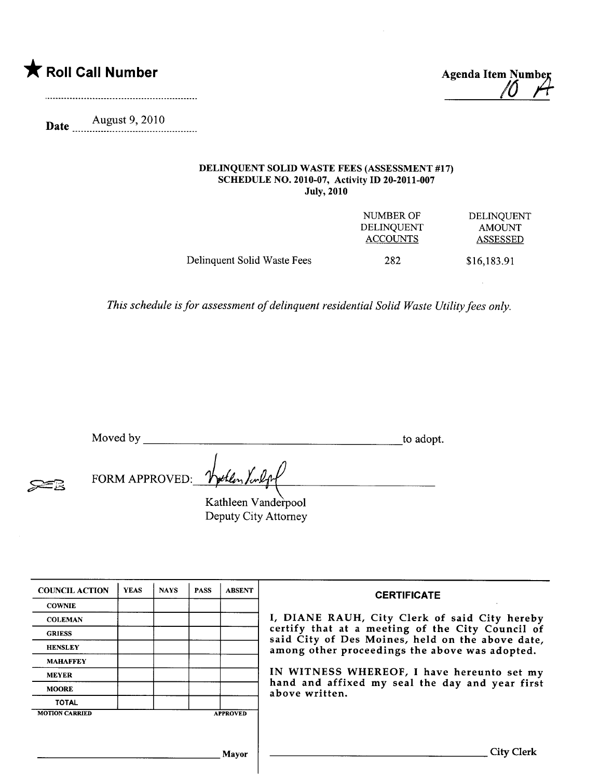

**Date** <u>August 9, 2010</u>

### DELINQUENT SOLID WASTE FEES (ASSESSMENT #17) SCHEDULE NO. 2010-07, Activity ID 20-2011-007 July, 2010

|                             | NUMBER OF         | DELINOUENT    |
|-----------------------------|-------------------|---------------|
|                             | <b>DELINOUENT</b> | <b>AMOUNT</b> |
|                             | <b>ACCOUNTS</b>   | ASSESSED      |
| Delinquent Solid Waste Fees | 282               | \$16,183.91   |

This schedule is for assessment of delinquent residential Solid Waste Utilty fees only.

Moved by to adopt.

 $\cancel{\approx}$ 2

| FORM APPROVED: Wollen Kulpf |  |
|-----------------------------|--|
|                             |  |

Kathleen Vanderpool Deputy City Attorney

| <b>COUNCIL ACTION</b> | <b>YEAS</b> | <b>NAYS</b> | <b>PASS</b> | <b>ABSENT</b>   | <b>CERTIFICATE</b>                                                                                   |
|-----------------------|-------------|-------------|-------------|-----------------|------------------------------------------------------------------------------------------------------|
| <b>COWNIE</b>         |             |             |             |                 |                                                                                                      |
| <b>COLEMAN</b>        |             |             |             |                 | I, DIANE RAUH, City Clerk of said City hereby                                                        |
| <b>GRIESS</b>         |             |             |             |                 | certify that at a meeting of the City Council of<br>said City of Des Moines, held on the above date, |
| <b>HENSLEY</b>        |             |             |             |                 | among other proceedings the above was adopted.                                                       |
| <b>MAHAFFEY</b>       |             |             |             |                 |                                                                                                      |
| <b>MEYER</b>          |             |             |             |                 | IN WITNESS WHEREOF, I have hereunto set my                                                           |
| <b>MOORE</b>          |             |             |             |                 | hand and affixed my seal the day and year first<br>above written.                                    |
| <b>TOTAL</b>          |             |             |             |                 |                                                                                                      |
| <b>MOTION CARRIED</b> |             |             |             | <b>APPROVED</b> |                                                                                                      |
|                       |             |             |             |                 |                                                                                                      |
|                       |             |             |             |                 |                                                                                                      |
|                       |             |             |             | Mavor           | City Clerk                                                                                           |